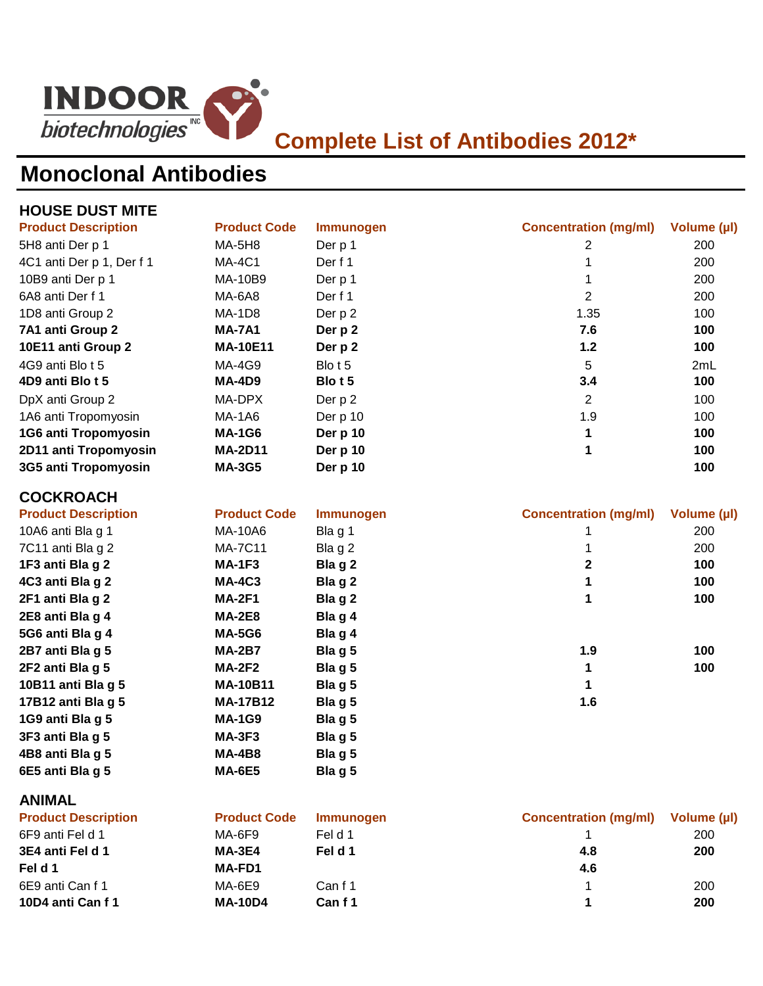

### **Monoclonal Antibodies**

| <b>HOUSE DUST MITE</b>     |                     |                  |                              |             |
|----------------------------|---------------------|------------------|------------------------------|-------------|
| <b>Product Description</b> | <b>Product Code</b> | <b>Immunogen</b> | <b>Concentration (mg/ml)</b> | Volume (µl) |
| 5H8 anti Der p 1           | <b>MA-5H8</b>       | Der p 1          | 2                            | 200         |
| 4C1 anti Der p 1, Der f 1  | <b>MA-4C1</b>       | Der f 1          | 1                            | 200         |
| 10B9 anti Der p 1          | MA-10B9             | Der p 1          | 1                            | 200         |
| 6A8 anti Der f 1           | <b>MA-6A8</b>       | Der f 1          | $\overline{2}$               | 200         |
| 1D8 anti Group 2           | <b>MA-1D8</b>       | Der p 2          | 1.35                         | 100         |
| 7A1 anti Group 2           | <b>MA-7A1</b>       | Der p 2          | 7.6                          | 100         |
| 10E11 anti Group 2         | <b>MA-10E11</b>     | Der p 2          | $1.2$                        | 100         |
| 4G9 anti Blo t 5           | <b>MA-4G9</b>       | Blot 5           | 5                            | 2mL         |
| 4D9 anti Blo t 5           | <b>MA-4D9</b>       | Blo t 5          | 3.4                          | 100         |
| DpX anti Group 2           | MA-DPX              | Der p 2          | $\overline{2}$               | 100         |
| 1A6 anti Tropomyosin       | <b>MA-1A6</b>       | Der p 10         | 1.9                          | 100         |
| 1G6 anti Tropomyosin       | <b>MA-1G6</b>       | Der p 10         | 1                            | 100         |
| 2D11 anti Tropomyosin      | <b>MA-2D11</b>      | Der p 10         | 1                            | 100         |
| 3G5 anti Tropomyosin       | <b>MA-3G5</b>       | Der p 10         |                              | 100         |
| <b>COCKROACH</b>           |                     |                  |                              |             |
| <b>Product Description</b> | <b>Product Code</b> | <b>Immunogen</b> | <b>Concentration (mg/ml)</b> | Volume (µl) |
| 10A6 anti Bla g 1          | MA-10A6             | Bla g 1          | 1                            | 200         |
| 7C11 anti Bla g 2          | <b>MA-7C11</b>      | Bla g 2          | 1                            | 200         |
| 1F3 anti Bla g 2           | <b>MA-1F3</b>       | Bla g 2          | $\overline{\mathbf{2}}$      | 100         |
| 4C3 anti Bla g 2           | <b>MA-4C3</b>       | Bla g 2          | 1                            | 100         |
| 2F1 anti Bla g 2           | <b>MA-2F1</b>       | Bla g 2          | 1                            | 100         |
| 2E8 anti Bla g 4           | <b>MA-2E8</b>       | Bla g 4          |                              |             |
| 5G6 anti Bla g 4           | <b>MA-5G6</b>       | Bla g 4          |                              |             |
| 2B7 anti Bla g 5           | <b>MA-2B7</b>       | Blag 5           | 1.9                          | 100         |
| 2F2 anti Bla g 5           | <b>MA-2F2</b>       | Blag 5           | 1                            | 100         |
| 10B11 anti Bla g 5         | <b>MA-10B11</b>     | Blag 5           | 1                            |             |
| 17B12 anti Bla g 5         | <b>MA-17B12</b>     | Blag 5           | 1.6                          |             |
| 1G9 anti Bla g 5           | <b>MA-1G9</b>       | Blag 5           |                              |             |
| 3F3 anti Bla g 5           | <b>MA-3F3</b>       | Blag 5           |                              |             |
| 4B8 anti Bla g 5           | <b>MA-4B8</b>       | Blag 5           |                              |             |
| 6E5 anti Bla g 5           | <b>MA-6E5</b>       | Blag 5           |                              |             |
| <b>ANIMAL</b>              |                     |                  |                              |             |
| <b>Product Description</b> | <b>Product Code</b> | <b>Immunogen</b> | <b>Concentration (mg/ml)</b> | Volume (µl) |
| 6F9 anti Fel d 1           | <b>MA-6F9</b>       | Feld 1           | 1                            | 200         |
| 3E4 anti Fel d 1           | <b>MA-3E4</b>       | Fel d 1          | 4.8                          | 200         |
| Fel d 1                    | MA-FD1              |                  | 4.6                          |             |
| 6E9 anti Can f 1           | <b>MA-6E9</b>       | Canf1            | $\mathbf 1$                  | 200         |

**10D4 anti Can f 1 MA-10D4 Can f 1 1 200**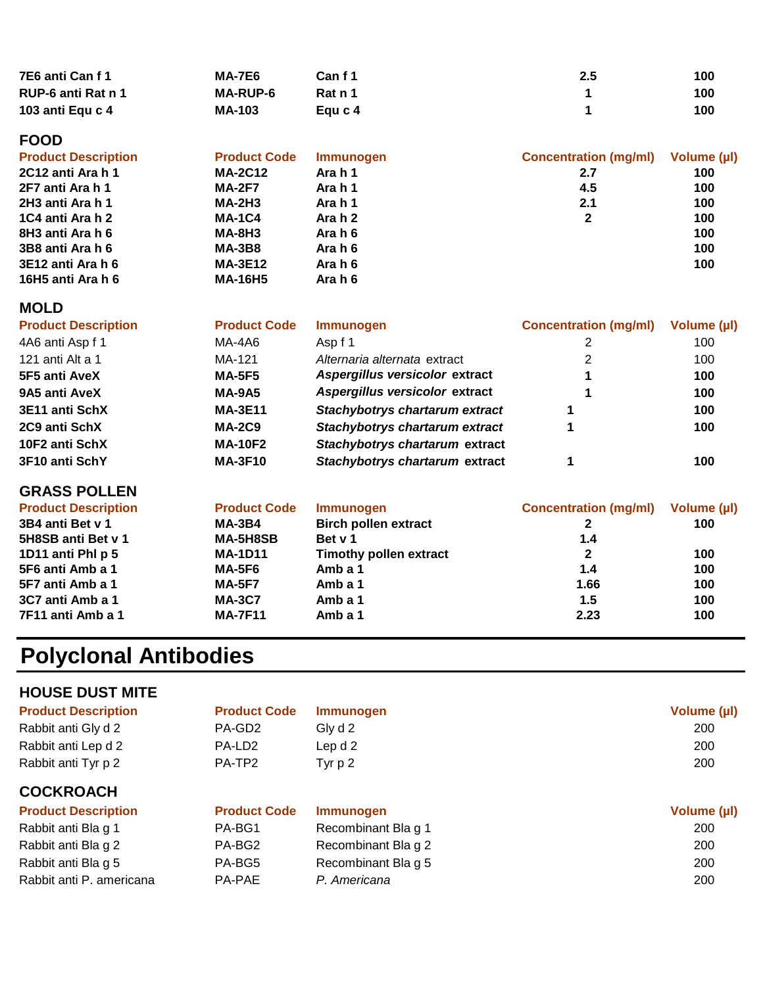| 7E6 anti Can f 1   | <b>MA-7E6</b>   | Can f 1 | 2.5 | 100 |
|--------------------|-----------------|---------|-----|-----|
| RUP-6 anti Rat n 1 | <b>MA-RUP-6</b> | Rat n 1 |     | 100 |
| 103 anti Equ c 4   | <b>MA-103</b>   | Eau c 4 |     | 100 |

### **FOOD**

| <b>Product Description</b> | <b>Product Code</b> | <b>Immunogen</b> | <b>Concentration (mg/ml)</b> | Volume (µl) |
|----------------------------|---------------------|------------------|------------------------------|-------------|
| 2C12 anti Ara h 1          | <b>MA-2C12</b>      | Ara h 1          | 2.7                          | 100         |
| 2F7 anti Ara h 1           | <b>MA-2F7</b>       | Ara h 1          | 4.5                          | 100         |
| 2H3 anti Ara h 1           | <b>MA-2H3</b>       | Ara h 1          | 2.1                          | 100         |
| 1C4 anti Ara h 2           | <b>MA-1C4</b>       | Ara h 2          | 2                            | 100         |
| 8H3 anti Ara h 6           | <b>MA-8H3</b>       | Ara h 6          |                              | 100         |
| 3B8 anti Ara h 6           | <b>MA-3B8</b>       | Ara h 6          |                              | 100         |
| 3E12 anti Ara h 6          | <b>MA-3E12</b>      | Ara h 6          |                              | 100         |
| 16H5 anti Ara h 6          | <b>MA-16H5</b>      | Ara h 6          |                              |             |

#### **MOLD**

| <b>Product Description</b> | <b>Product Code</b> | <b>Immunogen</b>               | <b>Concentration (mg/ml)</b> | Volume (µl) |
|----------------------------|---------------------|--------------------------------|------------------------------|-------------|
| 4A6 anti Asp f 1           | MA-4A6              | Asp f 1                        |                              | 100         |
| 121 anti Alt a 1           | MA-121              | Alternaria alternata extract   | 2                            | 100         |
| 5F5 anti AveX              | <b>MA-5F5</b>       | Aspergillus versicolor extract |                              | 100         |
| 9A5 anti AveX              | <b>MA-9A5</b>       | Aspergillus versicolor extract |                              | 100         |
| 3E11 anti SchX             | <b>MA-3E11</b>      | Stachybotrys chartarum extract |                              | 100         |
| 2C9 anti SchX              | <b>MA-2C9</b>       | Stachybotrys chartarum extract |                              | 100         |
| 10F2 anti SchX             | <b>MA-10F2</b>      | Stachybotrys chartarum extract |                              |             |
| 3F10 anti SchY             | <b>MA-3F10</b>      | Stachybotrys chartarum extract |                              | 100         |
|                            |                     |                                |                              |             |

#### **GRASS POLLEN**

| <b>Product Description</b> | <b>Product Code</b> | <b>Immunogen</b>              | <b>Concentration (mg/ml)</b> | Volume (µl) |
|----------------------------|---------------------|-------------------------------|------------------------------|-------------|
| 3B4 anti Bet v 1           | <b>MA-3B4</b>       | <b>Birch pollen extract</b>   |                              | 100         |
| 5H8SB anti Bet v 1         | MA-5H8SB            | Bet v 1                       | 1.4                          |             |
| 1D11 anti PhI p 5          | <b>MA-1D11</b>      | <b>Timothy pollen extract</b> |                              | 100         |
| 5F6 anti Amb a 1           | MA-5F6              | Amb a 1                       | 1.4                          | 100         |
| 5F7 anti Amb a 1           | <b>MA-5F7</b>       | Amb a 1                       | 1.66                         | 100         |
| 3C7 anti Amb a 1           | <b>MA-3C7</b>       | Amb a 1                       | 1.5                          | 100         |
| 7F11 anti Amb a 1          | <b>MA-7F11</b>      | Amb a 1                       | 2.23                         | 100         |

# **Polyclonal Antibodies**

| <b>HOUSE DUST MITE</b>     |                     |                     |             |
|----------------------------|---------------------|---------------------|-------------|
| <b>Product Description</b> | <b>Product Code</b> | <b>Immunogen</b>    | Volume (µl) |
| Rabbit anti Gly d 2        | PA-GD <sub>2</sub>  | Gly d 2             | 200         |
| Rabbit anti Lep d 2        | PA-LD <sub>2</sub>  | Lep d 2             | 200         |
| Rabbit anti Tyr p 2        | PA-TP2              | Tyr $p2$            | 200         |
| <b>COCKROACH</b>           |                     |                     |             |
| <b>Product Description</b> | <b>Product Code</b> | <b>Immunogen</b>    | Volume (µl) |
| Rabbit anti Bla g 1        | PA-BG1              | Recombinant Bla g 1 | 200         |
| Rabbit anti Bla g 2        | PA-BG2              | Recombinant Bla g 2 | 200         |
| Rabbit anti Bla g 5        | PA-BG5              | Recombinant Bla g 5 | 200         |
| Rabbit anti P. americana   | <b>PA-PAE</b>       | P. Americana        | 200         |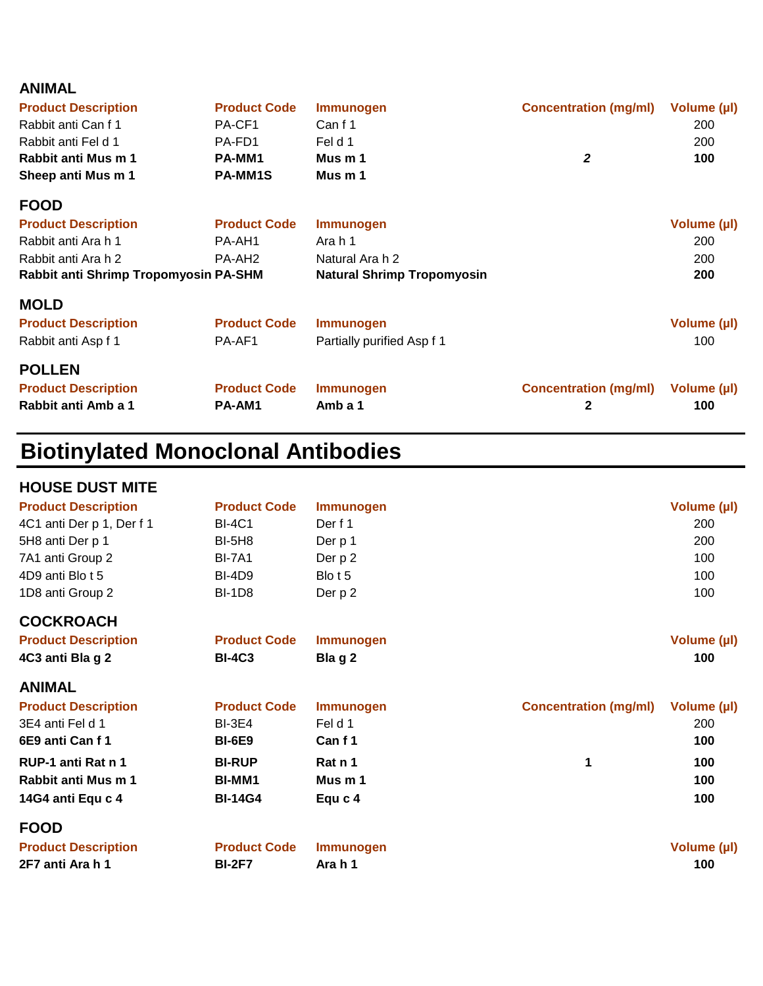| <b>ANIMAL</b>                         |                     |                                   |                              |             |
|---------------------------------------|---------------------|-----------------------------------|------------------------------|-------------|
| <b>Product Description</b>            | <b>Product Code</b> | <b>Immunogen</b>                  | <b>Concentration (mg/ml)</b> | Volume (µl) |
| Rabbit anti Can f 1                   | PA-CF1              | Canf1                             |                              | 200         |
| Rabbit anti Fel d 1                   | PA-FD1              | Fel d 1                           |                              | 200         |
| Rabbit anti Mus m 1                   | <b>PA-MM1</b>       | Mus m 1                           | 2                            | 100         |
| Sheep anti Mus m 1                    | <b>PA-MM1S</b>      | Mus <sub>m</sub> 1                |                              |             |
| <b>FOOD</b>                           |                     |                                   |                              |             |
| <b>Product Description</b>            | <b>Product Code</b> | <b>Immunogen</b>                  |                              | Volume (µl) |
| Rabbit anti Ara h 1                   | PA-AH1              | Ara h 1                           |                              | 200         |
| Rabbit anti Ara h 2                   | PA-AH <sub>2</sub>  | Natural Ara h 2                   |                              | 200         |
| Rabbit anti Shrimp Tropomyosin PA-SHM |                     | <b>Natural Shrimp Tropomyosin</b> |                              | 200         |
| <b>MOLD</b>                           |                     |                                   |                              |             |
| <b>Product Description</b>            | <b>Product Code</b> | <b>Immunogen</b>                  |                              | Volume (µl) |
| Rabbit anti Asp f 1                   | PA-AF1              | Partially purified Asp f 1        |                              | 100         |
| <b>POLLEN</b>                         |                     |                                   |                              |             |
| <b>Product Description</b>            | <b>Product Code</b> | <b>Immunogen</b>                  | <b>Concentration (mg/ml)</b> | Volume (µl) |
| Rabbit anti Amb a 1                   | PA-AM1              | Amb a 1                           | 2                            | 100         |

## **Biotinylated Monoclonal Antibodies**

| <b>HOUSE DUST MITE</b>     |                     |                  |                              |             |
|----------------------------|---------------------|------------------|------------------------------|-------------|
| <b>Product Description</b> | <b>Product Code</b> | Immunogen        |                              | Volume (µl) |
| 4C1 anti Der p 1, Der f 1  | <b>BI-4C1</b>       | Der f 1          |                              | 200         |
| 5H8 anti Der p 1           | <b>BI-5H8</b>       | Der p 1          |                              | 200         |
| 7A1 anti Group 2           | <b>BI-7A1</b>       | Der p 2          |                              | 100         |
| 4D9 anti Blo t 5           | <b>BI-4D9</b>       | Blo t 5          |                              | 100         |
| 1D8 anti Group 2           | <b>BI-1D8</b>       | Der p 2          |                              | 100         |
| <b>COCKROACH</b>           |                     |                  |                              |             |
| <b>Product Description</b> | <b>Product Code</b> | <b>Immunogen</b> |                              | Volume (µl) |
| 4C3 anti Bla g 2           | <b>BI-4C3</b>       | Blag 2           |                              | 100         |
| <b>ANIMAL</b>              |                     |                  |                              |             |
| <b>Product Description</b> | <b>Product Code</b> | Immunogen        | <b>Concentration (mg/ml)</b> | Volume (µl) |
| 3E4 anti Fel d 1           | <b>BI-3E4</b>       | Feld 1           |                              | 200         |
| 6E9 anti Can f 1           | <b>BI-6E9</b>       | Canf1            |                              | 100         |
| RUP-1 anti Rat n 1         | <b>BI-RUP</b>       | Rat n 1          | 1                            | 100         |
| Rabbit anti Mus m 1        | <b>BI-MM1</b>       | Mus m 1          |                              | 100         |
| 14G4 anti Equ c 4          | <b>BI-14G4</b>      | Equ c 4          |                              | 100         |
| <b>FOOD</b>                |                     |                  |                              |             |
| <b>Product Description</b> | <b>Product Code</b> | <b>Immunogen</b> |                              | Volume (µl) |
| 2F7 anti Ara h 1           | <b>BI-2F7</b>       | Ara h 1          |                              | 100         |